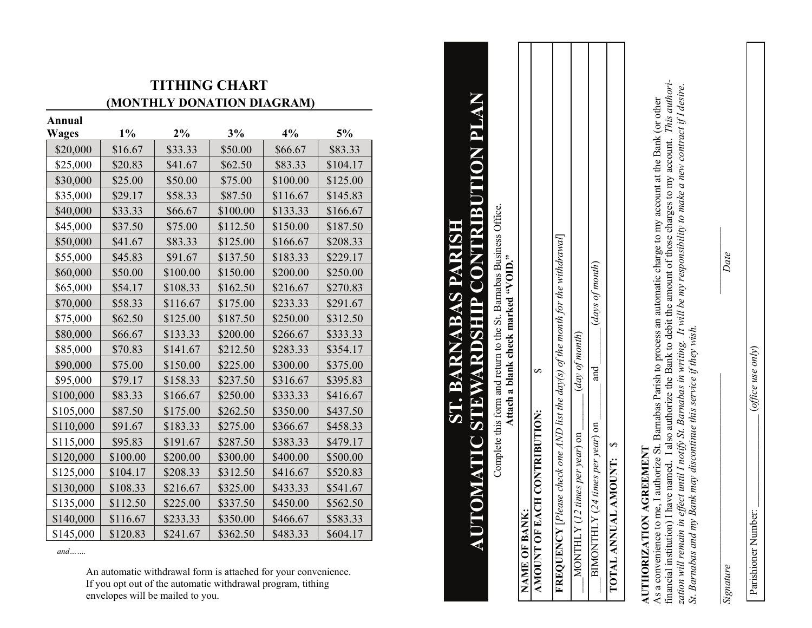## **TITHING CHART (MONTHLY DONATION DIAGRAM)**

**Wages 1% 2% 3% 4% 5%**   $$20,000$  | \$16.67 | \$33.33 | \$50.00 | \$66.67 | \$83.33  $$25,000$   $$20.83$   $$41.67$   $$62.50$   $$83.33$   $$104.17$  $$30,000$   $$25.00$   $$50.00$   $$75.00$   $$100.00$   $$125.00$  $$35,000$   $$29.17$   $$58.33$   $$87.50$   $$116.67$   $$145.83$  $$40,000$   $$33.33$   $$66.67$   $$100.00$   $$133.33$   $$166.67$  $$45,000$   $$37.50$   $$575.00$   $$112.50$   $$150.00$   $$187.50$  $$50,000$   $$41.67$   $$83.33$   $$125.00$   $$166.67$   $$208.33$  $$55,000$   $$45.83$   $$91.67$   $$137.50$   $$183.33$   $$229.17$  $$60,000$   $$50,00$   $$100,00$   $$150,00$   $$200,00$   $$250,00$  $$65,000$   $$54.17$   $$108.33$   $$162.50$   $$216.67$   $$270.83$  $$70,000$  | \$58.33 | \$116.67 | \$175.00 | \$233.33 | \$291.67  $$75,000$   $$62.50$   $$125.00$   $$187.50$   $$250.00$   $$312.50$  $$80,000$   $$66.67$   $$133.33$   $$200.00$   $$266.67$   $$333.33$  $$85,000$   $$70.83$   $$141.67$   $$212.50$   $$283.33$   $$354.17$  $$90,000$  | \$75.00 | \$150.00 | \$225.00 | \$300.00 | \$375.00  $$95,000$  \$79.17 \ \$158.33 \ \$237.50 \ \$316.67 \ \$395.83  $$100,000$   $$83.33$   $$166.67$   $$250.00$   $$333.33$   $$416.67$  $$105,000$   $$87.50$   $$175.00$   $$262.50$   $$350.00$   $$437.50$  $$110,000$   $$91.67$   $$183.33$   $$275.00$   $$366.67$   $$458.33$  $$115,000$   $$95.83$   $$191.67$   $$287.50$   $$383.33$   $$479.17$  $$120,000$   $$100.00$   $$200.00$   $$300.00$   $$400.00$   $$500.00$  $$125,000 \; | \; $104.17 \; | \; $208.33 \; | \; $312.50 \; | \; $416.67 \; | \; $520.83$  $$130,000$   $$108.33$   $$216.67$   $$325.00$   $$433.33$   $$541.67$  $$135,000$   $$112.50$   $$225.00$   $$337.50$   $$450.00$   $$562.50$  $$140,000$   $$116.67$   $$233.33$   $$350.00$   $$466.67$   $$583.33$  $$145,000$   $$120.83$   $$241.67$   $$362.50$   $$483.33$   $$604.17$ **Particles 3 S141.67 S212.50 S283.33 S254.17**<br> **O S75.00 S150.000 S25.00 S30.000 S375.00**<br> **Parish 10.82.50 CO S25.00 S375.00 S375.00 S375.00**<br> **Parish 10.82.50 CO S120.000 S120.000 S37** 

 *and…….* 

**Annual** 

## **AUTOMATIC STEWARDSHIP CONTRIBUTION PLAN** P **NO Ral** 2 **ST. BARNABAS PARISH** ERI KN á  $\blacktriangle$  $\triangle$ **ABA 115S**

Complete this form and return to the St. Barnabas Business Office.

**Attach a blank check marked "VOID."** 

|               | AMOUNT OF EACH CONTRIBUTION: | <b>REQUENCY</b> [Please check one AND list the $day(s)$ of the month for the withdrawal] | MONTHLY (12 times per year) on $\frac{1}{\sqrt{a}}$ (day of month) | (days of month)<br>and<br>BIMONTHLY (24 times per year) on |                         |
|---------------|------------------------------|------------------------------------------------------------------------------------------|--------------------------------------------------------------------|------------------------------------------------------------|-------------------------|
| NAME OF BANK: |                              |                                                                                          |                                                                    |                                                            | TOTAL ANNUAL AMOUNT: \$ |

## **AUTHORIZATION AGREEMENT**

As a convenience to me, I authorize St. Barnabas Parish to process an automatic charge to my account at the Bank (or other financial institution) I have named. I also authorize the Bank to debit the amount of those charges to my account. *This authorization will remain in effect until I notify St. Barnabas in writing. It will be my responsibility to make a new contract if I desire. St. Barnabas and my Bank may discontinue this service if they wish.* 

*Signature Date* 

 $\mathcal{L}_\text{max}$  , and the contract of the contract of the contract of the contract of the contract of the contract of the contract of the contract of the contract of the contract of the contract of the contract of the contr

Date